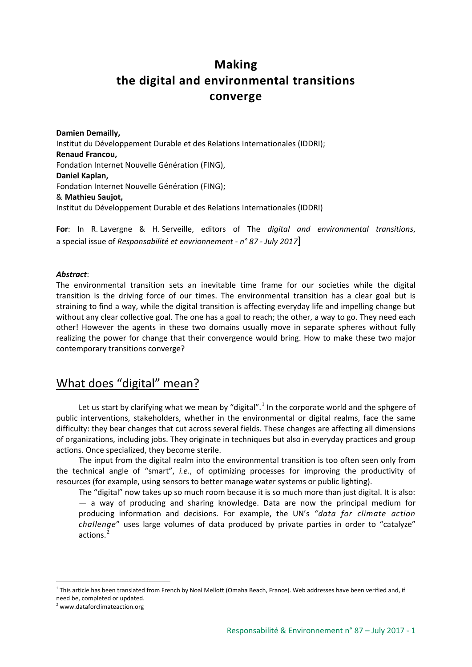# **Making the digital and environmental transitions converge**

**Damien Demailly,** Institut du Développement Durable et des Relations Internationales (IDDRI); **Renaud Francou,**  Fondation Internet Nouvelle Génération (FING), **Daniel Kaplan,**  Fondation Internet Nouvelle Génération (FING); & **Mathieu Saujot,** Institut du Développement Durable et des Relations Internationales (IDDRI)

**For**: In R. Lavergne & H. Serveille, editors of The *digital and environmental transitions*, a special issue of *Responsabilité et envrionnement - n° 87 - July 2017*]

#### *Abstract*:

The environmental transition sets an inevitable time frame for our societies while the digital transition is the driving force of our times. The environmental transition has a clear goal but is straining to find a way, while the digital transition is affecting everyday life and impelling change but without any clear collective goal. The one has a goal to reach; the other, a way to go. They need each other! However the agents in these two domains usually move in separate spheres without fully realizing the power for change that their convergence would bring. How to make these two major contemporary transitions converge?

### What does "digital" mean?

Let us start by clarifying what we mean by "digital".<sup>[1](#page-0-0)</sup> In the corporate world and the sphgere of public interventions, stakeholders, whether in the environmental or digital realms, face the same difficulty: they bear changes that cut across several fields. These changes are affecting all dimensions of organizations, including jobs. They originate in techniques but also in everyday practices and group actions. Once specialized, they become sterile.

The input from the digital realm into the environmental transition is too often seen only from the technical angle of "smart", *i.e.*, of optimizing processes for improving the productivity of resources (for example, using sensors to better manage water systems or public lighting).

The "digital" now takes up so much room because it is so much more than just digital. It is also: — a way of producing and sharing knowledge. Data are now the principal medium for producing information and decisions. For example, the UN's *"data for climate action challenge*" uses large volumes of data produced by private parties in order to "catalyze" actions<sup>[2](#page-0-1)</sup>

<u>.</u>

<span id="page-0-0"></span><sup>&</sup>lt;sup>1</sup> This article has been translated from French by Noal Mellott (Omaha Beach, France). Web addresses have been verified and, if need be, completed or updated.

<span id="page-0-1"></span><sup>2</sup> www.dataforclimateaction.org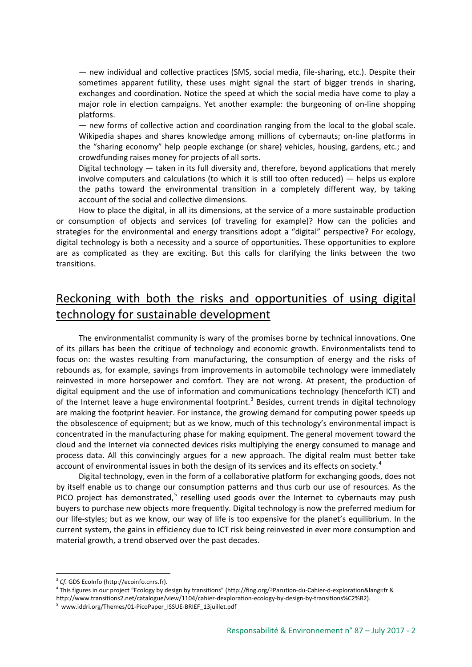— new individual and collective practices (SMS, social media, file-sharing, etc.). Despite their sometimes apparent futility, these uses might signal the start of bigger trends in sharing, exchanges and coordination. Notice the speed at which the social media have come to play a major role in election campaigns. Yet another example: the burgeoning of on-line shopping platforms.

— new forms of collective action and coordination ranging from the local to the global scale. Wikipedia shapes and shares knowledge among millions of cybernauts; on-line platforms in the "sharing economy" help people exchange (or share) vehicles, housing, gardens, etc.; and crowdfunding raises money for projects of all sorts.

Digital technology — taken in its full diversity and, therefore, beyond applications that merely involve computers and calculations (to which it is still too often reduced) — helps us explore the paths toward the environmental transition in a completely different way, by taking account of the social and collective dimensions.

How to place the digital, in all its dimensions, at the service of a more sustainable production or consumption of objects and services (of traveling for example)? How can the policies and strategies for the environmental and energy transitions adopt a "digital" perspective? For ecology, digital technology is both a necessity and a source of opportunities. These opportunities to explore are as complicated as they are exciting. But this calls for clarifying the links between the two transitions.

## Reckoning with both the risks and opportunities of using digital technology for sustainable development

The environmentalist community is wary of the promises borne by technical innovations. One of its pillars has been the critique of technology and economic growth. Environmentalists tend to focus on: the wastes resulting from manufacturing, the consumption of energy and the risks of rebounds as, for example, savings from improvements in automobile technology were immediately reinvested in more horsepower and comfort. They are not wrong. At present, the production of digital equipment and the use of information and communications technology (henceforth ICT) and of the Internet leave a huge environmental footprint.<sup>[3](#page-1-0)</sup> Besides, current trends in digital technology are making the footprint heavier. For instance, the growing demand for computing power speeds up the obsolescence of equipment; but as we know, much of this technology's environmental impact is concentrated in the manufacturing phase for making equipment. The general movement toward the cloud and the Internet via connected devices risks multiplying the energy consumed to manage and process data. All this convincingly argues for a new approach. The digital realm must better take account of environmental issues in both the design of its services and its effects on society.<sup>[4](#page-1-1)</sup>

Digital technology, even in the form of a collaborative platform for exchanging goods, does not by itself enable us to change our consumption patterns and thus curb our use of resources. As the PICO project has demonstrated, $5$  reselling used goods over the Internet to cybernauts may push buyers to purchase new objects more frequently. Digital technology is now the preferred medium for our life-styles; but as we know, our way of life is too expensive for the planet's equilibrium. In the current system, the gains in efficiency due to ICT risk being reinvested in ever more consumption and material growth, a trend observed over the past decades.

1

<span id="page-1-0"></span><sup>3</sup> *Cf.* GDS EcoInfo (http://ecoinfo.cnrs.fr).

<span id="page-1-1"></span><sup>4</sup> This figures in our project "Ecology by design by transitions" (http://fing.org/?Parution-du-Cahier-d-exploration&lang=fr & http://www.transitions2.net/catalogue/view/1104/cahier-dexploration-ecology-by-design-by-transitions%C2%B2).

<span id="page-1-2"></span><sup>5</sup> www.iddri.org/Themes/01-PicoPaper\_ISSUE-BRIEF\_13juillet.pdf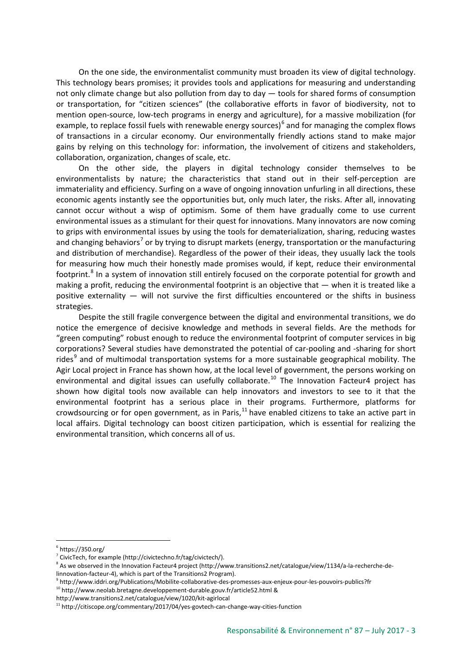On the one side, the environmentalist community must broaden its view of digital technology. This technology bears promises; it provides tools and applications for measuring and understanding not only climate change but also pollution from day to day — tools for shared forms of consumption or transportation, for "citizen sciences" (the collaborative efforts in favor of biodiversity, not to mention open-source, low-tech programs in energy and agriculture), for a massive mobilization (for example, to replace fossil fuels with renewable energy sources) $<sup>6</sup>$  $<sup>6</sup>$  $<sup>6</sup>$  and for managing the complex flows</sup> of transactions in a circular economy. Our environmentally friendly actions stand to make major gains by relying on this technology for: information, the involvement of citizens and stakeholders, collaboration, organization, changes of scale, etc.

On the other side, the players in digital technology consider themselves to be environmentalists by nature; the characteristics that stand out in their self-perception are immateriality and efficiency. Surfing on a wave of ongoing innovation unfurling in all directions, these economic agents instantly see the opportunities but, only much later, the risks. After all, innovating cannot occur without a wisp of optimism. Some of them have gradually come to use current environmental issues as a stimulant for their quest for innovations. Many innovators are now coming to grips with environmental issues by using the tools for dematerialization, sharing, reducing wastes and changing behaviors<sup>[7](#page-2-1)</sup> or by trying to disrupt markets (energy, transportation or the manufacturing and distribution of merchandise). Regardless of the power of their ideas, they usually lack the tools for measuring how much their honestly made promises would, if kept, reduce their environmental footprint.<sup>[8](#page-2-2)</sup> In a system of innovation still entirely focused on the corporate potential for growth and making a profit, reducing the environmental footprint is an objective that — when it is treated like a positive externality — will not survive the first difficulties encountered or the shifts in business strategies.

Despite the still fragile convergence between the digital and environmental transitions, we do notice the emergence of decisive knowledge and methods in several fields. Are the methods for "green computing" robust enough to reduce the environmental footprint of computer services in big corporations? Several studies have demonstrated the potential of car-pooling and -sharing for short rides $9$  and of multimodal transportation systems for a more sustainable geographical mobility. The Agir Local project in France has shown how, at the local level of government, the persons working on environmental and digital issues can usefully collaborate.<sup>[10](#page-2-4)</sup> The Innovation Facteur4 project has shown how digital tools now available can help innovators and investors to see to it that the environmental footprint has a serious place in their programs. Furthermore, platforms for crowdsourcing or for open government, as in Paris, $11$  have enabled citizens to take an active part in local affairs. Digital technology can boost citizen participation, which is essential for realizing the environmental transition, which concerns all of us.

<u>.</u>

http://www.transitions2.net/catalogue/view/1020/kit-agirlocal

<span id="page-2-0"></span> $6$  https://350.org/

<span id="page-2-2"></span><span id="page-2-1"></span><sup>&</sup>lt;sup>7</sup> CivicTech, for example (http://civictechno.fr/tag/civictech/).<br><sup>8</sup> As we observed in the Innovation Facteur4 project (http://www.transitions2.net/catalogue/view/1134/a-la-recherche-delinnovation-facteur-4), which is part of the Transitions2 Program).

<span id="page-2-3"></span><sup>9</sup> http://www.iddri.org/Publications/Mobilite-collaborative-des-promesses-aux-enjeux-pour-les-pouvoirs-publics?fr

<span id="page-2-4"></span> $10$  http://www.neolab.bretagne.developpement-durable.gouv.fr/article52.html &

<span id="page-2-5"></span> $11$  http://citiscope.org/commentary/2017/04/yes-govtech-can-change-way-cities-function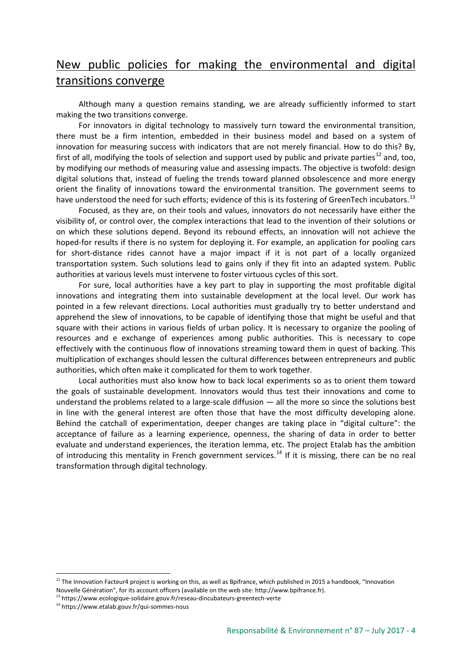## New public policies for making the environmental and digital transitions converge

Although many a question remains standing, we are already sufficiently informed to start making the two transitions converge.

For innovators in digital technology to massively turn toward the environmental transition, there must be a firm intention, embedded in their business model and based on a system of innovation for measuring success with indicators that are not merely financial. How to do this? By, first of all, modifying the tools of selection and support used by public and private parties<sup>[12](#page-3-0)</sup> and, too, by modifying our methods of measuring value and assessing impacts. The objective is twofold: design digital solutions that, instead of fueling the trends toward planned obsolescence and more energy orient the finality of innovations toward the environmental transition. The government seems to have understood the need for such efforts; evidence of this is its fostering of GreenTech incubators.<sup>[13](#page-3-1)</sup>

Focused, as they are, on their tools and values, innovators do not necessarily have either the visibility of, or control over, the complex interactions that lead to the invention of their solutions or on which these solutions depend. Beyond its rebound effects, an innovation will not achieve the hoped-for results if there is no system for deploying it. For example, an application for pooling cars for short-distance rides cannot have a major impact if it is not part of a locally organized transportation system. Such solutions lead to gains only if they fit into an adapted system. Public authorities at various levels must intervene to foster virtuous cycles of this sort.

For sure, local authorities have a key part to play in supporting the most profitable digital innovations and integrating them into sustainable development at the local level. Our work has pointed in a few relevant directions. Local authorities must gradually try to better understand and apprehend the slew of innovations, to be capable of identifying those that might be useful and that square with their actions in various fields of urban policy. It is necessary to organize the pooling of resources and e exchange of experiences among public authorities. This is necessary to cope effectively with the continuous flow of innovations streaming toward them in quest of backing. This multiplication of exchanges should lessen the cultural differences between entrepreneurs and public authorities, which often make it complicated for them to work together.

Local authorities must also know how to back local experiments so as to orient them toward the goals of sustainable development. Innovators would thus test their innovations and come to understand the problems related to a large-scale diffusion — all the more so since the solutions best in line with the general interest are often those that have the most difficulty developing alone. Behind the catchall of experimentation, deeper changes are taking place in "digital culture": the acceptance of failure as a learning experience, openness, the sharing of data in order to better evaluate and understand experiences, the iteration lemma, etc. The project Etalab has the ambition of introducing this mentality in French government services.<sup>[14](#page-3-2)</sup> If it is missing, there can be no real transformation through digital technology.

1

<span id="page-3-0"></span> $12$  The Innovation Facteur4 project is working on this, as well as Bpifrance, which published in 2015 a handbook, "Innovation Nouvelle Génération", for its account officers (available on the web site: http://www.bpifrance.fr).

<span id="page-3-1"></span><sup>13</sup> https://www.ecologique-solidaire.gouv.fr/reseau-dincubateurs-greentech-verte

<span id="page-3-2"></span><sup>14</sup> https://www.etalab.gouv.fr/qui-sommes-nous